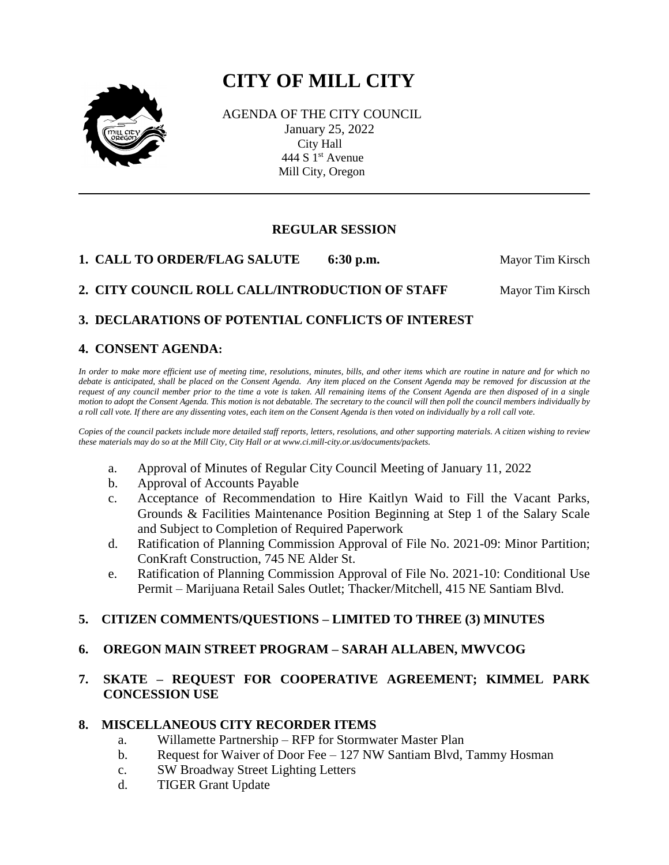# **CITY OF MILL CITY**



 AGENDA OF THE CITY COUNCIL January 25, 2022 City Hall 444 S  $1<sup>st</sup>$  Avenue Mill City, Oregon

## **REGULAR SESSION**

**1. CALL TO ORDER/FLAG SALUTE 6:30 p.m.** Mayor Tim Kirsch

## **2. CITY COUNCIL ROLL CALL/INTRODUCTION OF STAFF Mayor Tim Kirsch**

## **3. DECLARATIONS OF POTENTIAL CONFLICTS OF INTEREST**

## **4. CONSENT AGENDA:**

*In order to make more efficient use of meeting time, resolutions, minutes, bills, and other items which are routine in nature and for which no debate is anticipated, shall be placed on the Consent Agenda. Any item placed on the Consent Agenda may be removed for discussion at the request of any council member prior to the time a vote is taken. All remaining items of the Consent Agenda are then disposed of in a single motion to adopt the Consent Agenda. This motion is not debatable. The secretary to the council will then poll the council members individually by a roll call vote. If there are any dissenting votes, each item on the Consent Agenda is then voted on individually by a roll call vote.*

*Copies of the council packets include more detailed staff reports, letters, resolutions, and other supporting materials. A citizen wishing to review these materials may do so at the Mill City, City Hall or at www.ci.mill-city.or.us/documents/packets.*

- a. Approval of Minutes of Regular City Council Meeting of January 11, 2022
- b. Approval of Accounts Payable
- c. Acceptance of Recommendation to Hire Kaitlyn Waid to Fill the Vacant Parks, Grounds & Facilities Maintenance Position Beginning at Step 1 of the Salary Scale and Subject to Completion of Required Paperwork
- d. Ratification of Planning Commission Approval of File No. 2021-09: Minor Partition; ConKraft Construction, 745 NE Alder St.
- e. Ratification of Planning Commission Approval of File No. 2021-10: Conditional Use Permit – Marijuana Retail Sales Outlet; Thacker/Mitchell, 415 NE Santiam Blvd.

## **5. CITIZEN COMMENTS/QUESTIONS – LIMITED TO THREE (3) MINUTES**

#### **6. OREGON MAIN STREET PROGRAM – SARAH ALLABEN, MWVCOG**

## **7. SKATE – REQUEST FOR COOPERATIVE AGREEMENT; KIMMEL PARK CONCESSION USE**

#### **8. MISCELLANEOUS CITY RECORDER ITEMS**

- a. Willamette Partnership RFP for Stormwater Master Plan
- b. Request for Waiver of Door Fee 127 NW Santiam Blvd, Tammy Hosman
- c. SW Broadway Street Lighting Letters
- d. TIGER Grant Update